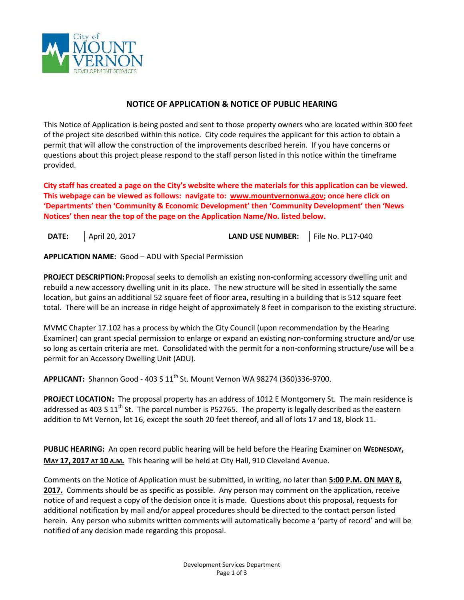

## **NOTICE OF APPLICATION & NOTICE OF PUBLIC HEARING**

This Notice of Application is being posted and sent to those property owners who are located within 300 feet of the project site described within this notice. City code requires the applicant for this action to obtain a permit that will allow the construction of the improvements described herein. If you have concerns or questions about this project please respond to the staff person listed in this notice within the timeframe provided.

**City staff has created a page on the City's website where the materials for this application can be viewed. This webpage can be viewed as follows: navigate to: [www.mountvernonwa.gov;](http://www.mountvernonwa.gov/) once here click on 'Departments' then 'Community & Economic Development' then 'Community Development' then 'News Notices' then near the top of the page on the Application Name/No. listed below.** 

**DATE:** April 20, 2017 **LAND USE NUMBER:** File No. PL17-040

**APPLICATION NAME:** Good – ADU with Special Permission

**PROJECT DESCRIPTION:**Proposal seeks to demolish an existing non-conforming accessory dwelling unit and rebuild a new accessory dwelling unit in its place. The new structure will be sited in essentially the same location, but gains an additional 52 square feet of floor area, resulting in a building that is 512 square feet total. There will be an increase in ridge height of approximately 8 feet in comparison to the existing structure.

MVMC Chapter 17.102 has a process by which the City Council (upon recommendation by the Hearing Examiner) can grant special permission to enlarge or expand an existing non-conforming structure and/or use so long as certain criteria are met. Consolidated with the permit for a non-conforming structure/use will be a permit for an Accessory Dwelling Unit (ADU).

**APPLICANT:** Shannon Good - 403 S 11th St. Mount Vernon WA 98274 (360)336-9700.

**PROJECT LOCATION:** The proposal property has an address of 1012 E Montgomery St. The main residence is addressed as 403 S  $11<sup>th</sup>$  St. The parcel number is P52765. The property is legally described as the eastern addition to Mt Vernon, lot 16, except the south 20 feet thereof, and all of lots 17 and 18, block 11.

PUBLIC HEARING: An open record public hearing will be held before the Hearing Examiner on WEDNESDAY, **MAY 17, 2017 AT 10 A.M.** This hearing will be held at City Hall, 910 Cleveland Avenue.

Comments on the Notice of Application must be submitted, in writing, no later than **5:00 P.M. ON MAY 8, 2017.** Comments should be as specific as possible. Any person may comment on the application, receive notice of and request a copy of the decision once it is made. Questions about this proposal, requests for additional notification by mail and/or appeal procedures should be directed to the contact person listed herein. Any person who submits written comments will automatically become a 'party of record' and will be notified of any decision made regarding this proposal.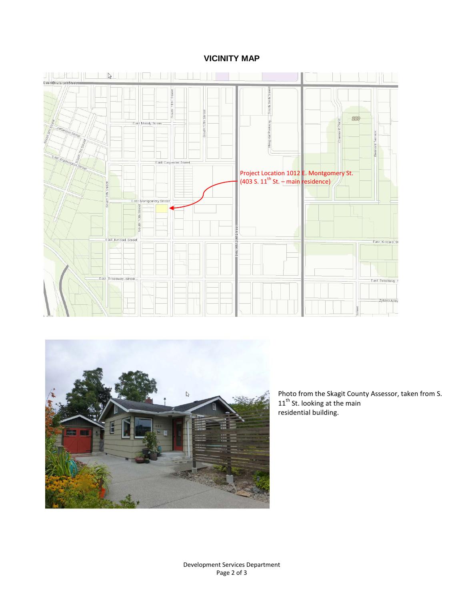## **VICINITY MAP**





Photo from the Skagit County Assessor, taken from S.  $11<sup>th</sup>$  St. looking at the main residential building.